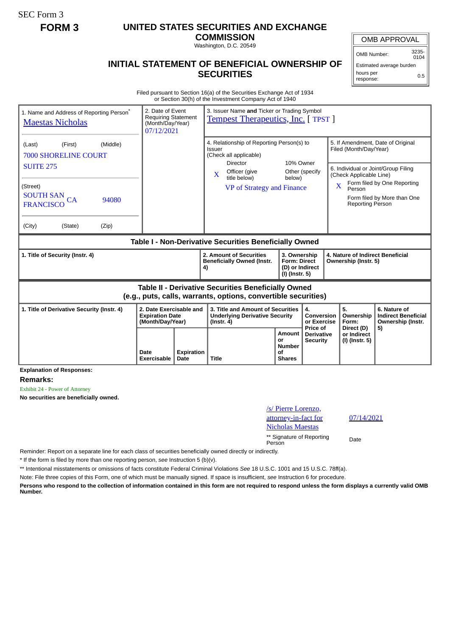SEC Form 3

## **FORM 3 UNITED STATES SECURITIES AND EXCHANGE**

**COMMISSION** Washington, D.C. 20549

## **INITIAL STATEMENT OF BENEFICIAL OWNERSHIP OF SECURITIES**

OMB APPROVAL

OMB Number: 3235-  $0104$ 

Estimated average burden hours per response: 0.5

Filed pursuant to Section 16(a) of the Securities Exchange Act of 1934 or Section 30(h) of the Investment Company Act of 1940

| 1. Name and Address of Reporting Person <sup>®</sup><br><b>Maestas Nicholas</b>                                   | 2. Date of Event<br><b>Requiring Statement</b><br>(Month/Day/Year)<br>07/12/2021 |    | 3. Issuer Name and Ticker or Trading Symbol<br><b>Tempest Therapeutics, Inc.</b> [TPST]                                      |                          |                                                                                                                                      |                                                                                                                                                                                              |                                                                       |  |
|-------------------------------------------------------------------------------------------------------------------|----------------------------------------------------------------------------------|----|------------------------------------------------------------------------------------------------------------------------------|--------------------------|--------------------------------------------------------------------------------------------------------------------------------------|----------------------------------------------------------------------------------------------------------------------------------------------------------------------------------------------|-----------------------------------------------------------------------|--|
| (Middle)<br>(First)<br>(Last)<br><b>7000 SHORELINE COURT</b>                                                      |                                                                                  |    | 4. Relationship of Reporting Person(s) to<br>Issuer<br>(Check all applicable)<br>10% Owner                                   |                          |                                                                                                                                      | 5. If Amendment, Date of Original<br>Filed (Month/Day/Year)                                                                                                                                  |                                                                       |  |
| <b>SUITE 275</b><br>(Street)<br><b>SOUTH SAN</b><br>CA<br>94080<br><b>FRANCISCO</b><br>(City)<br>(State)<br>(Zip) |                                                                                  |    | <b>Director</b><br>Officer (give<br>X<br>title below)<br>VP of Strategy and Finance                                          | Other (specify<br>below) |                                                                                                                                      | 6. Individual or Joint/Group Filing<br>(Check Applicable Line)<br>Form filed by One Reporting<br>$\overline{\mathbf{X}}$<br>Person<br>Form filed by More than One<br><b>Reporting Person</b> |                                                                       |  |
| Table I - Non-Derivative Securities Beneficially Owned                                                            |                                                                                  |    |                                                                                                                              |                          |                                                                                                                                      |                                                                                                                                                                                              |                                                                       |  |
| 1. Title of Security (Instr. 4)                                                                                   |                                                                                  | 4) | 2. Amount of Securities<br><b>Beneficially Owned (Instr.</b>                                                                 |                          | 3. Ownership<br>4. Nature of Indirect Beneficial<br><b>Form: Direct</b><br>Ownership (Instr. 5)<br>(D) or Indirect<br>(I) (Instr. 5) |                                                                                                                                                                                              |                                                                       |  |
|                                                                                                                   |                                                                                  |    |                                                                                                                              |                          |                                                                                                                                      |                                                                                                                                                                                              |                                                                       |  |
|                                                                                                                   |                                                                                  |    | <b>Table II - Derivative Securities Beneficially Owned</b><br>(e.g., puts, calls, warrants, options, convertible securities) |                          |                                                                                                                                      |                                                                                                                                                                                              |                                                                       |  |
| 1. Title of Derivative Security (Instr. 4)                                                                        | 2. Date Exercisable and<br><b>Expiration Date</b><br>(Month/Day/Year)            |    | 3. Title and Amount of Securities<br><b>Underlying Derivative Security</b><br>$($ lnstr. 4 $)$                               |                          | 4.<br>Conversion<br>or Exercise<br>Price of                                                                                          | 5.<br>Ownership<br>Form:<br>Direct (D)                                                                                                                                                       | 6. Nature of<br><b>Indirect Beneficial</b><br>Ownership (Instr.<br>5) |  |

**Explanation of Responses:**

**Remarks:**

Exhibit 24 - Power of Attorney

**No securities are beneficially owned.**

| /s/ Pierre Lorenzo,<br>attorney-in-fact for                    | 07/1 |
|----------------------------------------------------------------|------|
| <b>Nicholas Maestas</b><br>** Signature of Reporting<br>Person | Date |

07/14/2021

Reminder: Report on a separate line for each class of securities beneficially owned directly or indirectly.

\* If the form is filed by more than one reporting person, *see* Instruction 5 (b)(v).

\*\* Intentional misstatements or omissions of facts constitute Federal Criminal Violations *See* 18 U.S.C. 1001 and 15 U.S.C. 78ff(a).

Note: File three copies of this Form, one of which must be manually signed. If space is insufficient, *see* Instruction 6 for procedure.

**Persons who respond to the collection of information contained in this form are not required to respond unless the form displays a currently valid OMB Number.**